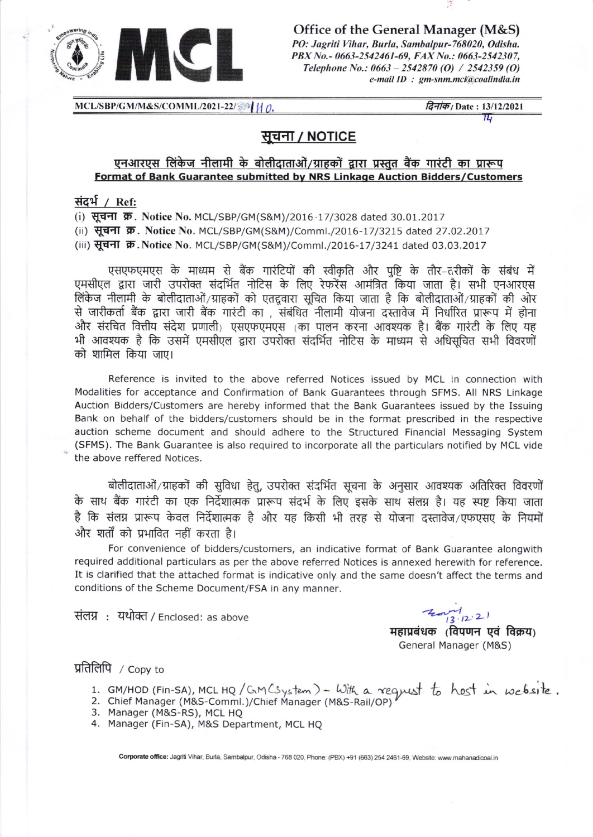

Office of the General Manager (M&S) PO: Jagriti Vihar, Burla, Sambalpur-768020, Odisha. PBX No.- 0663-2542461-69, FAX No.: 0663-2542307, Telephone No.:  $0663 - 2542870$  (O) / 2542359 (O) e-mail ID : gm-snm.mcl@coalindia.in

MCL/SBP/GM/M&S/COMML/2021-22/374 1/0.

*दिनांक।* Date: 13/12/2021

 $\overline{\tau}$ 

# सूचना / NOTICE

#### एनआरएस लिंकेज नीलामी के बोलीदाताओं/ग्राहकों द्वारा प्रस्तुत बैंक गारंटी का प्रारूप Format of Bank Guarantee submitted by NRS Linkage Auction Bidders/Customers

### संदर्भ / Ref:

(i) सूचना क्र. Notice No. MCL/SBP/GM(S&M)/2016-17/3028 dated 30.01.2017

(ii) सूचना क्र. Notice No. MCL/SBP/GM(S&M)/Comml./2016-17/3215 dated 27.02.2017

(iii) सूचना क्र. Notice No. MCL/SBP/GM(S&M)/Comml./2016-17/3241 dated 03.03.2017

एसएफएमएस के माध्यम से बैंक गारंटियों की स्वीकृति और पृष्टि के तौर–तरीकों के संबंध में एमसीएल द्वारा जारी उपरोक्त संदर्भित नोटिस के लिए रेफरेंस आमंत्रित किया जाता है। सभी एनआरएस लिंकेज नीलामी के बोलीदाताओं/ग्राहकों को एतद्दवारा सूचित किया जाता है कि बोलीदाताओं/ग्राहकों की ओर से जारीकर्ता बैंक द्वारा जारी बैंक गारंटी का , संबंधित नीलामी योजना दस्तावेज में निर्धारित प्रारूप में होना और संरचित वित्तीय संदेश प्रणाली) एसएफएमएस (का पालन करना आवश्यक है। बैंक गारंटी के लिए यह भी आवश्यक है कि उसमें एमसीएल द्वारा उपरोक्त संदर्भित नोटिस के माध्यम से अधिसूचित सभी विवरणों को शामिल किया जाए।

Reference is invited to the above referred Notices issued by MCL in connection with Modalities for acceptance and Confirmation of Bank Guarantees through SFMS. All NRS Linkage Auction Bidders/Customers are hereby informed that the Bank Guarantees issued by the Issuing Bank on behalf of the bidders/customers should be in the format prescribed in the respective auction scheme document and should adhere to the Structured Financial Messaging System (SFMS). The Bank Guarantee is also required to incorporate all the particulars notified by MCL vide the above reffered Notices.

बोलीदाताओं/ग्राहकों की सुविधा हेतु, उपरोक्त संदर्भित सूचना के अनुसार आवश्यक अतिरिक्त विवरणों के साथ बैंक गारंटी का एक निर्देशात्मक प्रारूप संदर्भ के लिए इसके साथ संलग्न है। यह स्पष्ट किया जाता है कि संलग्न प्रारूप केवल निर्देशात्मक है और यह किसी भी तरह से योजना दस्तावेज/एफएसए के नियमों और शर्तों को प्रभावित नहीं करता है।

For convenience of bidders/customers, an indicative format of Bank Guarantee alongwith required additional particulars as per the above referred Notices is annexed herewith for reference. It is clarified that the attached format is indicative only and the same doesn't affect the terms and conditions of the Scheme Document/FSA in any manner.

संलग्न: यथोक्त / Enclosed: as above

 $13.12.21$ 

महाप्रबंधक (विपणन एवं विक्रय) General Manager (M&S)

## प्रतिलिपि / Copy to

- 1. GM/HOD (Fin-SA), MCL HQ/GM (System) With a reguest to host in website.
- 2. Chief Manager (M&S-Comml.)/Chief Manager (M&S-Rail/OP)
- 3. Manager (M&S-RS), MCL HQ
- 4. Manager (Fin-SA), M&S Department, MCL HQ

Corporate office: Jagriti Vihar, Burla, Sambalpur, Odisha - 768 020, Phone: (PBX) +91 (663) 254 2461-69, Website: www.mahanadicoal.in